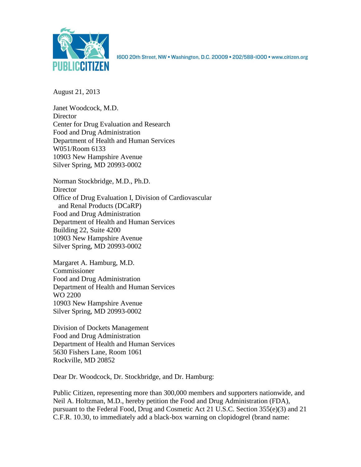

1600 20th Street, NW . Washington, D.C. 20009 . 202/588-1000 . www.citizen.org

August 21, 2013

Janet Woodcock, M.D. **Director** Center for Drug Evaluation and Research Food and Drug Administration Department of Health and Human Services W051/Room 6133 10903 New Hampshire Avenue Silver Spring, MD 20993-0002

Norman Stockbridge, M.D., Ph.D. **Director** Office of Drug Evaluation I, Division of Cardiovascular and Renal Products (DCaRP) Food and Drug Administration Department of Health and Human Services Building 22, Suite 4200 10903 New Hampshire Avenue Silver Spring, MD 20993-0002

Margaret A. Hamburg, M.D. Commissioner Food and Drug Administration Department of Health and Human Services WO 2200 10903 New Hampshire Avenue Silver Spring, MD 20993-0002

Division of Dockets Management Food and Drug Administration Department of Health and Human Services 5630 Fishers Lane, Room 1061 Rockville, MD 20852

Dear Dr. Woodcock, Dr. Stockbridge, and Dr. Hamburg:

Public Citizen, representing more than 300,000 members and supporters nationwide, and Neil A. Holtzman, M.D., hereby petition the Food and Drug Administration (FDA), pursuant to the Federal Food, Drug and Cosmetic Act 21 U.S.C. Section 355(e)(3) and 21 C.F.R. 10.30, to immediately add a black-box warning on clopidogrel (brand name: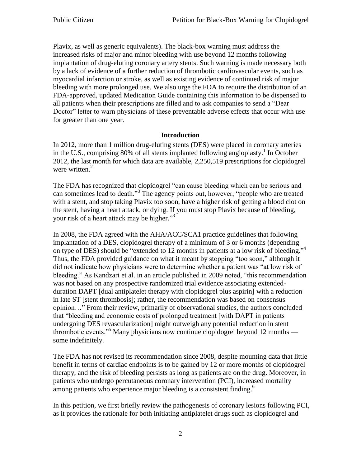Plavix, as well as generic equivalents). The black-box warning must address the increased risks of major and minor bleeding with use beyond 12 months following implantation of drug-eluting coronary artery stents. Such warning is made necessary both by a lack of evidence of a further reduction of thrombotic cardiovascular events, such as myocardial infarction or stroke, as well as existing evidence of continued risk of major bleeding with more prolonged use. We also urge the FDA to require the distribution of an FDA-approved, updated Medication Guide containing this information to be dispensed to all patients when their prescriptions are filled and to ask companies to send a "Dear Doctor" letter to warn physicians of these preventable adverse effects that occur with use for greater than one year.

#### **Introduction**

In 2012, more than 1 million drug-eluting stents (DES) were placed in coronary arteries in the U.S., comprising 80% of all stents implanted following angioplasty. 1 In October 2012, the last month for which data are available, 2,250,519 prescriptions for clopidogrel were written.<sup>2</sup>

The FDA has recognized that clopidogrel "can cause bleeding which can be serious and can sometimes lead to death."<sup>3</sup> The agency points out, however, "people who are treated with a stent, and stop taking Plavix too soon, have a higher risk of getting a blood clot on the stent, having a heart attack, or dying. If you must stop Plavix because of bleeding, your risk of a heart attack may be higher."<sup>3</sup>

In 2008, the FDA agreed with the AHA/ACC/SCA1 practice guidelines that following implantation of a DES, clopidogrel therapy of a minimum of 3 or 6 months (depending on type of DES) should be "extended to 12 months in patients at a low risk of bleeding."<sup>4</sup> Thus, the FDA provided guidance on what it meant by stopping "too soon," although it did not indicate how physicians were to determine whether a patient was "at low risk of bleeding." As Kandzari et al. in an article published in 2009 noted, "this recommendation was not based on any prospective randomized trial evidence associating extendedduration DAPT [dual antiplatelet therapy with clopidogrel plus aspirin] with a reduction in late ST [stent thrombosis]; rather, the recommendation was based on consensus opinion…" From their review, primarily of observational studies, the authors concluded that "bleeding and economic costs of prolonged treatment [with DAPT in patients undergoing DES revascularization] might outweigh any potential reduction in stent thrombotic events."<sup>5</sup> Many physicians now continue clopidogrel beyond 12 months some indefinitely.

The FDA has not revised its recommendation since 2008, despite mounting data that little benefit in terms of cardiac endpoints is to be gained by 12 or more months of clopidogrel therapy, and the risk of bleeding persists as long as patients are on the drug. Moreover, in patients who undergo percutaneous coronary intervention (PCI), increased mortality among patients who experience major bleeding is a consistent finding.<sup>6</sup>

In this petition, we first briefly review the pathogenesis of coronary lesions following PCI, as it provides the rationale for both initiating antiplatelet drugs such as clopidogrel and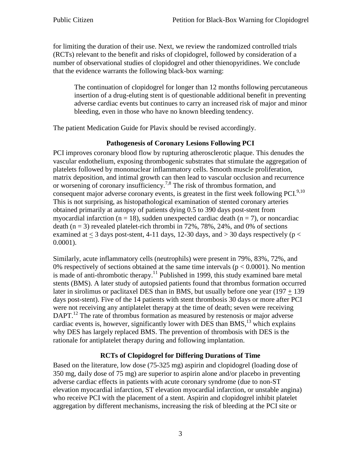for limiting the duration of their use. Next, we review the randomized controlled trials (RCTs) relevant to the benefit and risks of clopidogrel, followed by consideration of a number of observational studies of clopidogrel and other thienopyridines. We conclude that the evidence warrants the following black-box warning:

The continuation of clopidogrel for longer than 12 months following percutaneous insertion of a drug-eluting stent is of questionable additional benefit in preventing adverse cardiac events but continues to carry an increased risk of major and minor bleeding, even in those who have no known bleeding tendency.

The patient Medication Guide for Plavix should be revised accordingly.

# **Pathogenesis of Coronary Lesions Following PCI**

PCI improves coronary blood flow by rupturing atherosclerotic plaque. This denudes the vascular endothelium, exposing thrombogenic substrates that stimulate the aggregation of platelets followed by mononuclear inflammatory cells. Smooth muscle proliferation, matrix deposition, and intimal growth can then lead to vascular occlusion and recurrence or worsening of coronary insufficiency.7,8 The risk of thrombus formation, and consequent major adverse coronary events, is greatest in the first week following  $PCI^{9,10}$ . This is not surprising, as histopathological examination of stented coronary arteries obtained primarily at autopsy of patients dying 0.5 to 390 days post-stent from myocardial infarction ( $n = 18$ ), sudden unexpected cardiac death ( $n = 7$ ), or noncardiac death ( $n = 3$ ) revealed platelet-rich thrombi in 72%, 78%, 24%, and 0% of sections examined at  $<$  3 days post-stent, 4-11 days, 12-30 days, and  $>$  30 days respectively (p  $<$ 0.0001).

Similarly, acute inflammatory cells (neutrophils) were present in 79%, 83%, 72%, and 0% respectively of sections obtained at the same time intervals ( $p < 0.0001$ ). No mention is made of anti-thrombotic therapy.<sup>11</sup> Published in 1999, this study examined bare metal stents (BMS). A later study of autopsied patients found that thrombus formation occurred later in sirolimus or paclitaxel DES than in BMS, but usually before one year  $(197 + 139)$ days post-stent). Five of the 14 patients with stent thrombosis 30 days or more after PCI were not receiving any antiplatelet therapy at the time of death; seven were receiving DAPT.<sup>12</sup> The rate of thrombus formation as measured by restenosis or major adverse cardiac events is, however, significantly lower with DES than BMS,  $13$  which explains why DES has largely replaced BMS. The prevention of thrombosis with DES is the rationale for antiplatelet therapy during and following implantation.

# **RCTs of Clopidogrel for Differing Durations of Time**

Based on the literature, low dose (75-325 mg) aspirin and clopidogrel (loading dose of 350 mg, daily dose of 75 mg) are superior to aspirin alone and/or placebo in preventing adverse cardiac effects in patients with acute coronary syndrome (due to non-ST elevation myocardial infarction, ST elevation myocardial infarction, or unstable angina) who receive PCI with the placement of a stent. Aspirin and clopidogrel inhibit platelet aggregation by different mechanisms, increasing the risk of bleeding at the PCI site or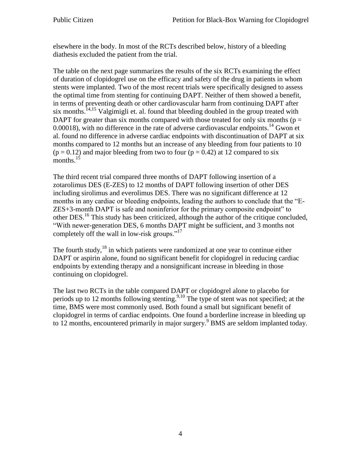elsewhere in the body. In most of the RCTs described below, history of a bleeding diathesis excluded the patient from the trial.

The table on the next page summarizes the results of the six RCTs examining the effect of duration of clopidogrel use on the efficacy and safety of the drug in patients in whom stents were implanted. Two of the most recent trials were specifically designed to assess the optimal time from stenting for continuing DAPT. Neither of them showed a benefit, in terms of preventing death or other cardiovascular harm from continuing DAPT after six months.<sup>14,15</sup> Valgimigli et. al. found that bleeding doubled in the group treated with DAPT for greater than six months compared with those treated for only six months ( $p =$ 0.00018), with no difference in the rate of adverse cardiovascular endpoints.<sup>14</sup> Gwon et al. found no difference in adverse cardiac endpoints with discontinuation of DAPT at six months compared to 12 months but an increase of any bleeding from four patients to 10  $(p = 0.12)$  and major bleeding from two to four  $(p = 0.42)$  at 12 compared to six months. $15$ 

The third recent trial compared three months of DAPT following insertion of a zotarolimus DES (E-ZES) to 12 months of DAPT following insertion of other DES including sirolimus and everolimus DES. There was no significant difference at 12 months in any cardiac or bleeding endpoints, leading the authors to conclude that the "E-ZES+3-month DAPT is safe and noninferior for the primary composite endpoint" to other DES.<sup>16</sup> This study has been criticized, although the author of the critique concluded, "With newer-generation DES, 6 months DAPT might be sufficient, and 3 months not completely off the wall in low-risk groups."<sup>17</sup>

The fourth study, $^{18}$  in which patients were randomized at one year to continue either DAPT or aspirin alone, found no significant benefit for clopidogrel in reducing cardiac endpoints by extending therapy and a nonsignificant increase in bleeding in those continuing on clopidogrel.

The last two RCTs in the table compared DAPT or clopidogrel alone to placebo for periods up to 12 months following stenting.<sup>9,10</sup> The type of stent was not specified; at the time, BMS were most commonly used. Both found a small but significant benefit of clopidogrel in terms of cardiac endpoints. One found a borderline increase in bleeding up to 12 months, encountered primarily in major surgery.<sup>9</sup> BMS are seldom implanted today.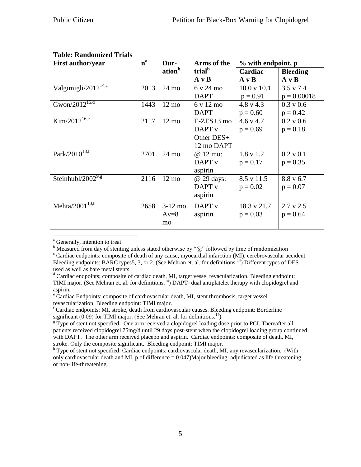| <b>First author/year</b>        | $n^a$ | Dur-               | Arms of the        | % with endpoint, p     |                      |
|---------------------------------|-------|--------------------|--------------------|------------------------|----------------------|
|                                 |       | ation <sup>b</sup> | trial <sup>b</sup> | Cardiac                | <b>Bleeding</b>      |
|                                 |       |                    | $A \vee B$         | $A \vee B$             | $A \vee B$           |
| Valgimigli/2012 <sup>14,c</sup> | 2013  | $24 \text{ mo}$    | 6 v 24 mo          | $10.0 \text{ v } 10.1$ | $3.5 \text{ v } 7.4$ |
|                                 |       |                    | <b>DAPT</b>        | $p = 0.91$             | $p = 0.00018$        |
| Gwon/ $20\overline{12}^{15,d}$  | 1443  | $12 \text{ mo}$    | 6 v 12 mo          | $4.8 \text{ v } 4.3$   | $0.3 \text{ v } 0.6$ |
|                                 |       |                    | <b>DAPT</b>        | $p = 0.60$             | $p = 0.42$           |
| $Kim/2012^{16,e}$               | 2117  | $12 \text{ mo}$    | $E-ZES+3$ mo       | $4.6 \text{ y } 4.7$   | 0.2 v 0.6            |
|                                 |       |                    | DAPT <sub>v</sub>  | $p = 0.69$             | $p = 0.18$           |
|                                 |       |                    | Other $DES+$       |                        |                      |
|                                 |       |                    | 12 mo DAPT         |                        |                      |
| $Park\sqrt{2010^{18,f}}$        | 2701  | $24 \text{ mo}$    | @ 12 mo:           | $1.8 \text{ v } 1.2$   | $0.2$ v $0.1$        |
|                                 |       |                    | DAPT <sub>v</sub>  | $p = 0.17$             | $p = 0.35$           |
|                                 |       |                    | aspirin            |                        |                      |
| Steinhubl/2002 $9.8$            | 2116  | $12 \text{ mo}$    | @ 29 days:         | $8.5 \text{ v } 11.5$  | $8.8 \text{ v } 6.7$ |
|                                 |       |                    | DAPT <sub>v</sub>  | $p = 0.02$             | $p = 0.07$           |
|                                 |       |                    | aspirin            |                        |                      |
| Mehta/ $2\overline{001}^{10,h}$ | 2658  | $3-12$ mo          | DAPT <sub>v</sub>  | 18.3 v 21.7            | $2.7 \text{ v } 2.5$ |
|                                 |       | $Av=8$             | aspirin            | $p = 0.03$             | $p = 0.64$           |
|                                 |       | mo                 |                    |                        |                      |

## **Table: Randomized Trials**

<sup>a</sup> Generally, intention to treat

 $\overline{a}$ 

 $b$  Measured from day of stenting unless stated otherwise by " $@$ " followed by time of randomization

 $c^c$  Cardiac endpoints: composite of death of any cause, myocardial infarction (MI), cerebrovascular accident. Bleeding endpoints: BARC types5, 3, or 2. (See Mehran et. al. for definitions.<sup>14</sup>) Different types of DES used as well as bare metal stents.

<sup>d</sup> Cardiac endpoints; composite of cardiac death, MI, target vessel revacularization. Bleeding endpoint: TIMI major. (See Mehran et. al. for definitions.<sup>14</sup>) DAPT=dual antiplatelet therapy with clopidogrel and aspirin.

<sup>e</sup> Cardiac Endpoints: composite of cardiovascular death, MI, stent thrombosis, target vessel revascularization. Bleeding endpoint: TIMI major.

 $f$  Cardiac endpoints: MI, stroke, death from cardiovascular causes. Bleeding endpoint: Borderline significant (0.09) for TIMI major. (See Mehran et. al. for definitions.<sup>14</sup>)

 $g<sup>g</sup>$  Type of stent not specified. One arm received a clopidogrel loading dose prior to PCI. Thereafter all patients received clopidogrel 75mg/d until 29 days post-stent when the clopidogrel loading group continued with DAPT. The other arm received placebo and aspirin. Cardiac endpoints: composite of death, MI, stroke. Only the composite significant. Bleeding endpoint: TIMI major.

<sup>h</sup> Type of stent not specified. Cardiac endpoints: cardiovascular death, MI, any revascularization. (With only cardiovascular death and MI, p of difference = 0.047)Major bleeding: adjudicated as life threatening or non-life-threatening.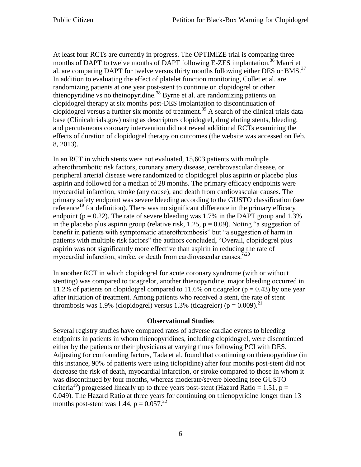At least four RCTs are currently in progress. The OPTIMIZE trial is comparing three months of DAPT to twelve months of DAPT following E-ZES implantation.<sup>36</sup> Mauri et al. are comparing DAPT for twelve versus thirty months following either DES or BMS.<sup>37</sup> In addition to evaluating the effect of platelet function monitoring, Collet et al. are randomizing patients at one year post-stent to continue on clopidogrel or other thienopyridine vs no theinopyridine.<sup>38</sup> Byrne et al. are randomizing patients on clopidogrel therapy at six months post-DES implantation to discontinuation of clopidogrel versus a further six months of treatment.<sup>39</sup> A search of the clinical trials data base (Clinicaltrials.gov) using as descriptors clopidogrel, drug eluting stents, bleeding, and percutaneous coronary intervention did not reveal additional RCTs examining the effects of duration of clopidogrel therapy on outcomes (the website was accessed on Feb, 8, 2013).

In an RCT in which stents were not evaluated, 15,603 patients with multiple atherothrombotic risk factors, coronary artery disease, cerebrovascular disease, or peripheral arterial disease were randomized to clopidogrel plus aspirin or placebo plus aspirin and followed for a median of 28 months. The primary efficacy endpoints were myocardial infarction, stroke (any cause), and death from cardiovascular causes. The primary safety endpoint was severe bleeding according to the GUSTO classification (see reference<sup>19</sup> for definition). There was no significant difference in the primary efficacy endpoint ( $p = 0.22$ ). The rate of severe bleeding was 1.7% in the DAPT group and 1.3% in the placebo plus aspirin group (relative risk, 1.25,  $p = 0.09$ ). Noting "a suggestion of benefit in patients with symptomatic atherothrombosis" but "a suggestion of harm in patients with multiple risk factors" the authors concluded, "Overall, clopidogrel plus aspirin was not significantly more effective than aspirin in reducing the rate of myocardial infarction, stroke, or death from cardiovascular causes." $^{20}$ 

In another RCT in which clopidogrel for acute coronary syndrome (with or without stenting) was compared to ticagrelor, another thienopyridine, major bleeding occurred in 11.2% of patients on clopidogrel compared to 11.6% on ticagrelor ( $p = 0.43$ ) by one year after initiation of treatment. Among patients who received a stent, the rate of stent thrombosis was 1.9% (clopidogrel) versus 1.3% (ticagrelor) ( $p = 0.009$ ).<sup>21</sup>

#### **Observational Studies**

Several registry studies have compared rates of adverse cardiac events to bleeding endpoints in patients in whom thienopyridines, including clopidogrel, were discontinued either by the patients or their physicians at varying times following PCI with DES. Adjusting for confounding factors, Tada et al. found that continuing on thienopyridine (in this instance, 90% of patients were using ticlopidine) after four months post-stent did not decrease the risk of death, myocardial infarction, or stroke compared to those in whom it was discontinued by four months, whereas moderate/severe bleeding (see GUSTO criteria<sup>19</sup>) progressed linearly up to three years post-stent (Hazard Ratio = 1.51, p = 0.049). The Hazard Ratio at three years for continuing on thienopyridine longer than 13 months post-stent was 1.44,  $p = 0.057<sup>22</sup>$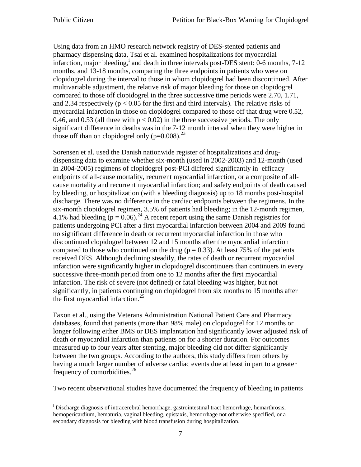Using data from an HMO research network registry of DES-stented patients and pharmacy dispensing data, Tsai et al. examined hospitalizations for myocardial infarction, major bleeding,<sup>i</sup> and death in three intervals post-DES stent: 0-6 months, 7-12 months, and 13-18 months, comparing the three endpoints in patients who were on clopidogrel during the interval to those in whom clopidogrel had been discontinued. After multivariable adjustment, the relative risk of major bleeding for those on clopidogrel compared to those off clopidogrel in the three successive time periods were 2.70, 1.71, and 2.34 respectively ( $p < 0.05$  for the first and third intervals). The relative risks of myocardial infarction in those on clopidogrel compared to those off that drug were 0.52, 0.46, and 0.53 (all three with  $p < 0.02$ ) in the three successive periods. The only significant difference in deaths was in the 7-12 month interval when they were higher in those off than on clopidogrel only  $(p=0.008)$ .<sup>23</sup>

Sorensen et al. used the Danish nationwide register of hospitalizations and drugdispensing data to examine whether six-month (used in 2002-2003) and 12-month (used in 2004-2005) regimens of clopidogrel post-PCI differed significantly in efficacy endpoints of all-cause mortality, recurrent myocardial infarction, or a composite of allcause mortality and recurrent myocardial infarction; and safety endpoints of death caused by bleeding, or hospitalization (with a bleeding diagnosis) up to 18 months post-hospital discharge. There was no difference in the cardiac endpoints between the regimens. In the six-month clopidogrel regimen, 3.5% of patients had bleeding; in the 12-month regimen, 4.1% had bleeding  $(p = 0.06)^{24}$  A recent report using the same Danish registries for patients undergoing PCI after a first myocardial infarction between 2004 and 2009 found no significant difference in death or recurrent myocardial infarction in those who discontinued clopidogrel between 12 and 15 months after the myocardial infarction compared to those who continued on the drug ( $p = 0.33$ ). At least 75% of the patients received DES. Although declining steadily, the rates of death or recurrent myocardial infarction were significantly higher in clopidogrel discontinuers than continuers in every successive three-month period from one to 12 months after the first myocardial infarction. The risk of severe (not defined) or fatal bleeding was higher, but not significantly, in patients continuing on clopidogrel from six months to 15 months after the first myocardial infarction. 25

Faxon et al., using the Veterans Administration National Patient Care and Pharmacy databases, found that patients (more than 98% male) on clopidogrel for 12 months or longer following either BMS or DES implantation had significantly lower adjusted risk of death or myocardial infarction than patients on for a shorter duration. For outcomes measured up to four years after stenting, major bleeding did not differ significantly between the two groups. According to the authors, this study differs from others by having a much larger number of adverse cardiac events due at least in part to a greater frequency of comorbidities.<sup>26</sup>

Two recent observational studies have documented the frequency of bleeding in patients

 $\overline{a}$ <sup>i</sup> Discharge diagnosis of intracerebral hemorrhage, gastrointestinal tract hemorrhage, hemarthrosis, hemopericardium, hematuria, vaginal bleeding, epistaxis, hemorrhage not otherwise specified, or a secondary diagnosis for bleeding with blood transfusion during hospitalization.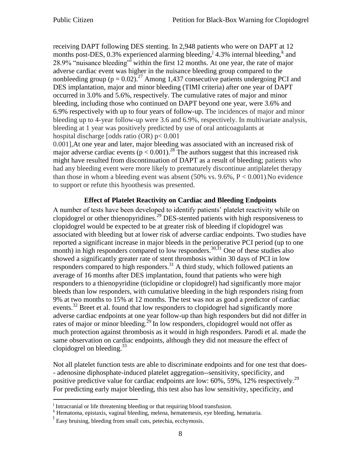receiving DAPT following DES stenting. In 2,948 patients who were on DAPT at 12 months post-DES, 0.3% experienced alarming bleeding,  $\frac{1}{4}$  4.3% internal bleeding, and 28.9% "nuisance bleeding" within the first 12 months. At one year, the rate of major adverse cardiac event was higher in the nuisance bleeding group compared to the nonbleeding group ( $p = 0.02$ ).<sup>27</sup> Among 1,437 consecutive patients undergoing PCI and DES implantation, major and minor bleeding (TIMI criteria) after one year of DAPT occurred in 3.0% and 5.6%, respectively. The cumulative rates of major and minor bleeding, including those who continued on DAPT beyond one year, were 3.6% and 6.9% respectively with up to four years of follow-up. The incidences of major and minor bleeding up to 4-year follow-up were 3.6 and 6.9%, respectively. In multivariate analysis, bleeding at 1 year was positively predicted by use of oral anticoagulants at hospital discharge [odds ratio (OR) p< 0.001

0.001],At one year and later, major bleeding was associated with an increased risk of major adverse cardiac events ( $p < 0.001$ ).<sup>28</sup> The authors suggest that this increased risk might have resulted from discontinuation of DAPT as a result of bleeding; patients who had any bleeding event were more likely to prematurely discontinue antiplatelet therapy than those in whom a bleeding event was absent  $(50\% \text{ vs. } 9.6\%, P < 0.001)$ . No evidence to support or refute this hyoothesis was presented.

#### **Effect of Platelet Reactivity on Cardiac and Bleeding Endpoints**

A number of tests have been developed to identify patients' platelet reactivity while on clopidogrel or other thienopyridines.<sup>29</sup> DES-stented patients with high responsiveness to clopidogrel would be expected to be at greater risk of bleeding if clopidogrel was associated with bleeding but at lower risk of adverse cardiac endpoints. Two studies have reported a significant increase in major bleeds in the perioperative PCI period (up to one month) in high responders compared to low responders.<sup>30,31</sup> One of these studies also showed a significantly greater rate of stent thrombosis within 30 days of PCI in low responders compared to high responders.<sup>31</sup> A third study, which followed patients an average of 16 months after DES implantation, found that patients who were high responders to a thienopyridine (ticlopidine or clopidogrel) had significantly more major bleeds than low responders, with cumulative bleeding in the high responders rising from 9% at two months to 15% at 12 months. The test was not as good a predictor of cardiac events.<sup>32</sup> Breet et al. found that low responders to clopidogrel had significantly more adverse cardiac endpoints at one year follow-up than high responders but did not differ in rates of major or minor bleeding.<sup>29</sup> In low responders, clopidogrel would not offer as much protection against thrombosis as it would in high responders. Parodi et al. made the same observation on cardiac endpoints, although they did not measure the effect of clopidogrel on bleeding.  $33$ 

Not all platelet function tests are able to discriminate endpoints and for one test that does- - adenosine diphosphate-induced platelet aggregation--sensitivity, specificity, and positive predictive value for cardiac endpoints are low: 60%, 59%, 12% respectively.<sup>29</sup> For predicting early major bleeding, this test also has low sensitivity, specificity, and

 $\overline{a}$ 

<sup>&</sup>lt;sup>j</sup> Intracranial or life threatening bleeding or that requiring blood transfusion.

k Hematoma, epistaxis, vaginal bleeding, melena, hematemesis, eye bleeding, hematuria.

<sup>&</sup>lt;sup>1</sup> Easy bruising, bleeding from small cuts, petechia, ecchymosis.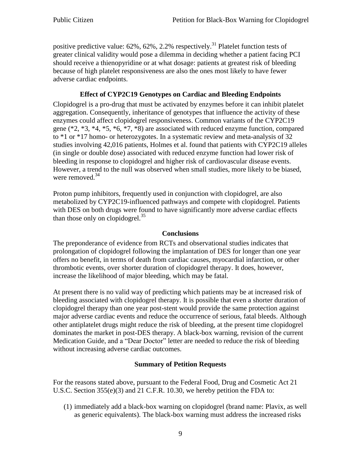positive predictive value:  $62\%$ ,  $62\%$ ,  $2.2\%$  respectively.<sup>31</sup> Platelet function tests of greater clinical validity would pose a dilemma in deciding whether a patient facing PCI should receive a thienopyridine or at what dosage: patients at greatest risk of bleeding because of high platelet responsiveness are also the ones most likely to have fewer adverse cardiac endpoints.

# **Effect of CYP2C19 Genotypes on Cardiac and Bleeding Endpoints**

Clopidogrel is a pro-drug that must be activated by enzymes before it can inhibit platelet aggregation. Consequently, inheritance of genotypes that influence the activity of these enzymes could affect clopidogrel responsiveness. Common variants of the CYP2C19 gene (\*2, \*3, \*4, \*5, \*6, \*7, \*8) are associated with reduced enzyme function, compared to \*1 or \*17 homo- or heterozygotes. In a systematic review and meta-analysis of 32 studies involving 42,016 patients, Holmes et al. found that patients with CYP2C19 alleles (in single or double dose) associated with reduced enzyme function had lower risk of bleeding in response to clopidogrel and higher risk of cardiovascular disease events. However, a trend to the null was observed when small studies, more likely to be biased, were removed.<sup>34</sup>

Proton pump inhibitors, frequently used in conjunction with clopidogrel, are also metabolized by CYP2C19-influenced pathways and compete with clopidogrel. Patients with DES on both drugs were found to have significantly more adverse cardiac effects than those only on clopidogrel.<sup>35</sup>

### **Conclusions**

The preponderance of evidence from RCTs and observational studies indicates that prolongation of clopidogrel following the implantation of DES for longer than one year offers no benefit, in terms of death from cardiac causes, myocardial infarction, or other thrombotic events, over shorter duration of clopidogrel therapy. It does, however, increase the likelihood of major bleeding, which may be fatal.

At present there is no valid way of predicting which patients may be at increased risk of bleeding associated with clopidogrel therapy. It is possible that even a shorter duration of clopidogrel therapy than one year post-stent would provide the same protection against major adverse cardiac events and reduce the occurrence of serious, fatal bleeds. Although other antiplatelet drugs might reduce the risk of bleeding, at the present time clopidogrel dominates the market in post-DES therapy. A black-box warning, revision of the current Medication Guide, and a "Dear Doctor" letter are needed to reduce the risk of bleeding without increasing adverse cardiac outcomes.

# **Summary of Petition Requests**

For the reasons stated above, pursuant to the Federal Food, Drug and Cosmetic Act 21 U.S.C. Section 355(e)(3) and 21 C.F.R. 10.30, we hereby petition the FDA to:

(1) immediately add a black-box warning on clopidogrel (brand name: Plavix, as well as generic equivalents). The black-box warning must address the increased risks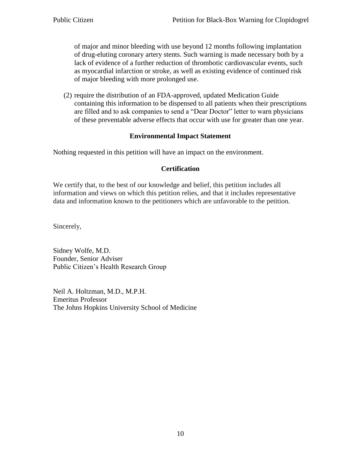of major and minor bleeding with use beyond 12 months following implantation of drug-eluting coronary artery stents. Such warning is made necessary both by a lack of evidence of a further reduction of thrombotic cardiovascular events, such as myocardial infarction or stroke, as well as existing evidence of continued risk of major bleeding with more prolonged use.

(2) require the distribution of an FDA-approved, updated Medication Guide containing this information to be dispensed to all patients when their prescriptions are filled and to ask companies to send a "Dear Doctor" letter to warn physicians of these preventable adverse effects that occur with use for greater than one year.

### **Environmental Impact Statement**

Nothing requested in this petition will have an impact on the environment.

### **Certification**

We certify that, to the best of our knowledge and belief, this petition includes all information and views on which this petition relies, and that it includes representative data and information known to the petitioners which are unfavorable to the petition.

Sincerely,

Sidney Wolfe, M.D. Founder, Senior Adviser Public Citizen's Health Research Group

Neil A. Holtzman, M.D., M.P.H. Emeritus Professor The Johns Hopkins University School of Medicine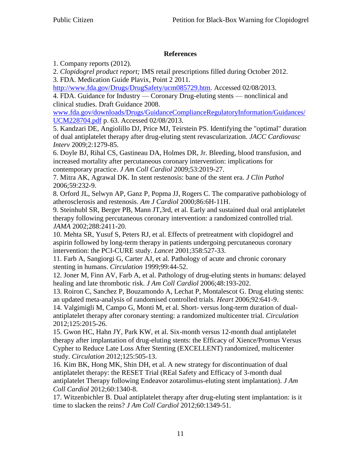## **References**

1. Company reports (2012).

2. *Clopidogrel product report;* IMS retail prescriptions filled during October 2012.

3. FDA. Medication Guide Plavix, Point 2 2011.

[http://www.fda.gov/Drugs/DrugSafety/ucm085729.htm.](http://www.fda.gov/Drugs/DrugSafety/ucm085729.htm) Accessed 02/08/2013. 4. FDA. Guidance for Industry — Coronary Drug-eluting stents — nonclinical and clinical studies. Draft Guidance 2008.

[www.fda.gov/downloads/Drugs/GuidanceComplianceRegulatoryInformation/Guidances/](http://www.fda.gov/downloads/Drugs/GuidanceComplianceRegulatoryInformation/Guidances/UCM228704.pdf) [UCM228704.pdf](http://www.fda.gov/downloads/Drugs/GuidanceComplianceRegulatoryInformation/Guidances/UCM228704.pdf) p. 63. Accessed 02/08/2013.

5. Kandzari DE, Angiolillo DJ, Price MJ, Teirstein PS. Identifying the "optimal" duration of dual antiplatelet therapy after drug-eluting stent revascularization. *JACC Cardiovasc Interv* 2009;2:1279-85.

6. Doyle BJ, Rihal CS, Gastineau DA, Holmes DR, Jr. Bleeding, blood transfusion, and increased mortality after percutaneous coronary intervention: implications for contemporary practice. *J Am Coll Cardiol* 2009;53:2019-27.

7. Mitra AK, Agrawal DK. In stent restenosis: bane of the stent era. *J Clin Pathol* 2006;59:232-9.

8. Orford JL, Selwyn AP, Ganz P, Popma JJ, Rogers C. The comparative pathobiology of atherosclerosis and restenosis. *Am J Cardiol* 2000;86:6H-11H.

9. Steinhubl SR, Berger PB, Mann JT,3rd, et al. Early and sustained dual oral antiplatelet therapy following percutaneous coronary intervention: a randomized controlled trial. *JAMA* 2002;288:2411-20.

10. Mehta SR, Yusuf S, Peters RJ, et al. Effects of pretreatment with clopidogrel and aspirin followed by long-term therapy in patients undergoing percutaneous coronary intervention: the PCI-CURE study. *Lancet* 2001;358:527-33.

11. Farb A, Sangiorgi G, Carter AJ, et al. Pathology of acute and chronic coronary stenting in humans. *Circulation* 1999;99:44-52.

12. Joner M, Finn AV, Farb A, et al. Pathology of drug-eluting stents in humans: delayed healing and late thrombotic risk. *J Am Coll Cardiol* 2006;48:193-202.

13. Roiron C, Sanchez P, Bouzamondo A, Lechat P, Montalescot G. Drug eluting stents: an updated meta-analysis of randomised controlled trials. *Heart* 2006;92:641-9.

14. Valgimigli M, Campo G, Monti M, et al. Short- versus long-term duration of dualantiplatelet therapy after coronary stenting: a randomized multicenter trial. *Circulation* 2012;125:2015-26.

15. Gwon HC, Hahn JY, Park KW, et al. Six-month versus 12-month dual antiplatelet therapy after implantation of drug-eluting stents: the Efficacy of Xience/Promus Versus Cypher to Reduce Late Loss After Stenting (EXCELLENT) randomized, multicenter study. *Circulation* 2012;125:505-13.

16. Kim BK, Hong MK, Shin DH, et al. A new strategy for discontinuation of dual antiplatelet therapy: the RESET Trial (REal Safety and Efficacy of 3-month dual antiplatelet Therapy following Endeavor zotarolimus-eluting stent implantation). *J Am Coll Cardiol* 2012;60:1340-8.

17. Witzenbichler B. Dual antiplatelet therapy after drug-eluting stent implantation: is it time to slacken the reins? *J Am Coll Cardiol* 2012;60:1349-51.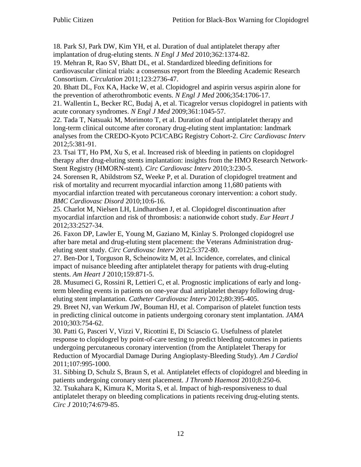18. Park SJ, Park DW, Kim YH, et al. Duration of dual antiplatelet therapy after implantation of drug-eluting stents. *N Engl J Med* 2010;362:1374-82.

19. Mehran R, Rao SV, Bhatt DL, et al. Standardized bleeding definitions for cardiovascular clinical trials: a consensus report from the Bleeding Academic Research Consortium. *Circulation* 2011;123:2736-47.

20. Bhatt DL, Fox KA, Hacke W, et al. Clopidogrel and aspirin versus aspirin alone for the prevention of atherothrombotic events. *N Engl J Med* 2006;354:1706-17.

21. Wallentin L, Becker RC, Budaj A, et al. Ticagrelor versus clopidogrel in patients with acute coronary syndromes. *N Engl J Med* 2009;361:1045-57.

22. Tada T, Natsuaki M, Morimoto T, et al. Duration of dual antiplatelet therapy and long-term clinical outcome after coronary drug-eluting stent implantation: landmark analyses from the CREDO-Kyoto PCI/CABG Registry Cohort-2. *Circ Cardiovasc Interv* 2012;5:381-91.

23. Tsai TT, Ho PM, Xu S, et al. Increased risk of bleeding in patients on clopidogrel therapy after drug-eluting stents implantation: insights from the HMO Research Network-Stent Registry (HMORN-stent). *Circ Cardiovasc Interv* 2010;3:230-5.

24. Sorensen R, Abildstrom SZ, Weeke P, et al. Duration of clopidogrel treatment and risk of mortality and recurrent myocardial infarction among 11,680 patients with myocardial infarction treated with percutaneous coronary intervention: a cohort study. *BMC Cardiovasc Disord* 2010;10:6-16.

25. Charlot M, Nielsen LH, Lindhardsen J, et al. Clopidogrel discontinuation after myocardial infarction and risk of thrombosis: a nationwide cohort study. *Eur Heart J* 2012;33:2527-34.

26. Faxon DP, Lawler E, Young M, Gaziano M, Kinlay S. Prolonged clopidogrel use after bare metal and drug-eluting stent placement: the Veterans Administration drugeluting stent study. *Circ Cardiovasc Interv* 2012;5:372-80.

27. Ben-Dor I, Torguson R, Scheinowitz M, et al. Incidence, correlates, and clinical impact of nuisance bleeding after antiplatelet therapy for patients with drug-eluting stents. *Am Heart J* 2010;159:871-5.

28. Musumeci G, Rossini R, Lettieri C, et al. Prognostic implications of early and longterm bleeding events in patients on one-year dual antiplatelet therapy following drugeluting stent implantation. *Catheter Cardiovasc Interv* 2012;80:395-405.

29. Breet NJ, van Werkum JW, Bouman HJ, et al. Comparison of platelet function tests in predicting clinical outcome in patients undergoing coronary stent implantation. *JAMA* 2010;303:754-62.

30. Patti G, Pasceri V, Vizzi V, Ricottini E, Di Sciascio G. Usefulness of platelet response to clopidogrel by point-of-care testing to predict bleeding outcomes in patients undergoing percutaneous coronary intervention (from the Antiplatelet Therapy for Reduction of Myocardial Damage During Angioplasty-Bleeding Study). *Am J Cardiol* 2011;107:995-1000.

31. Sibbing D, Schulz S, Braun S, et al. Antiplatelet effects of clopidogrel and bleeding in patients undergoing coronary stent placement. *J Thromb Haemost* 2010;8:250-6. 32. Tsukahara K, Kimura K, Morita S, et al. Impact of high-responsiveness to dual antiplatelet therapy on bleeding complications in patients receiving drug-eluting stents. *Circ J* 2010;74:679-85.